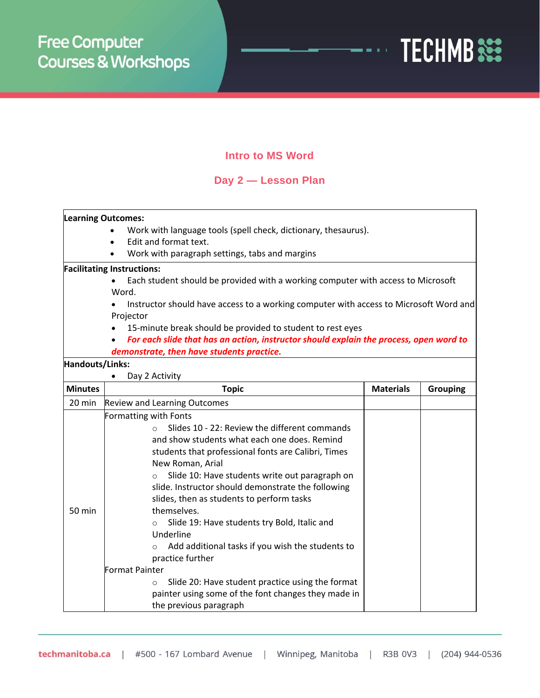

### **Intro to MS Word**

## **Day 2 — Lesson Plan**

#### **Learning Outcomes:**

- Work with language tools (spell check, dictionary, thesaurus).
- Edit and format text.
- Work with paragraph settings, tabs and margins

#### **Facilitating Instructions:**

- Each student should be provided with a working computer with access to Microsoft Word.
- Instructor should have access to a working computer with access to Microsoft Word and Projector
- 15-minute break should be provided to student to rest eyes
- *For each slide that has an action, instructor should explain the process, open word to demonstrate, then have students practice.*

#### **Handouts/Links:**

| Day 2 Activity |                                                                                                                                                                                                                                                                                                                                                                                                                                                                                                                                                                                                                                                                                                                                         |                  |                 |  |  |
|----------------|-----------------------------------------------------------------------------------------------------------------------------------------------------------------------------------------------------------------------------------------------------------------------------------------------------------------------------------------------------------------------------------------------------------------------------------------------------------------------------------------------------------------------------------------------------------------------------------------------------------------------------------------------------------------------------------------------------------------------------------------|------------------|-----------------|--|--|
| <b>Minutes</b> | <b>Topic</b>                                                                                                                                                                                                                                                                                                                                                                                                                                                                                                                                                                                                                                                                                                                            | <b>Materials</b> | <b>Grouping</b> |  |  |
| 20 min         | <b>Review and Learning Outcomes</b>                                                                                                                                                                                                                                                                                                                                                                                                                                                                                                                                                                                                                                                                                                     |                  |                 |  |  |
| 50 min         | <b>Formatting with Fonts</b><br>Slides 10 - 22: Review the different commands<br>$\Omega$<br>and show students what each one does. Remind<br>students that professional fonts are Calibri, Times<br>New Roman, Arial<br>Slide 10: Have students write out paragraph on<br>$\circ$<br>slide. Instructor should demonstrate the following<br>slides, then as students to perform tasks<br>themselves.<br>Slide 19: Have students try Bold, Italic and<br>$\circ$<br>Underline<br>Add additional tasks if you wish the students to<br>$\circ$<br>practice further<br><b>Format Painter</b><br>Slide 20: Have student practice using the format<br>$\circ$<br>painter using some of the font changes they made in<br>the previous paragraph |                  |                 |  |  |